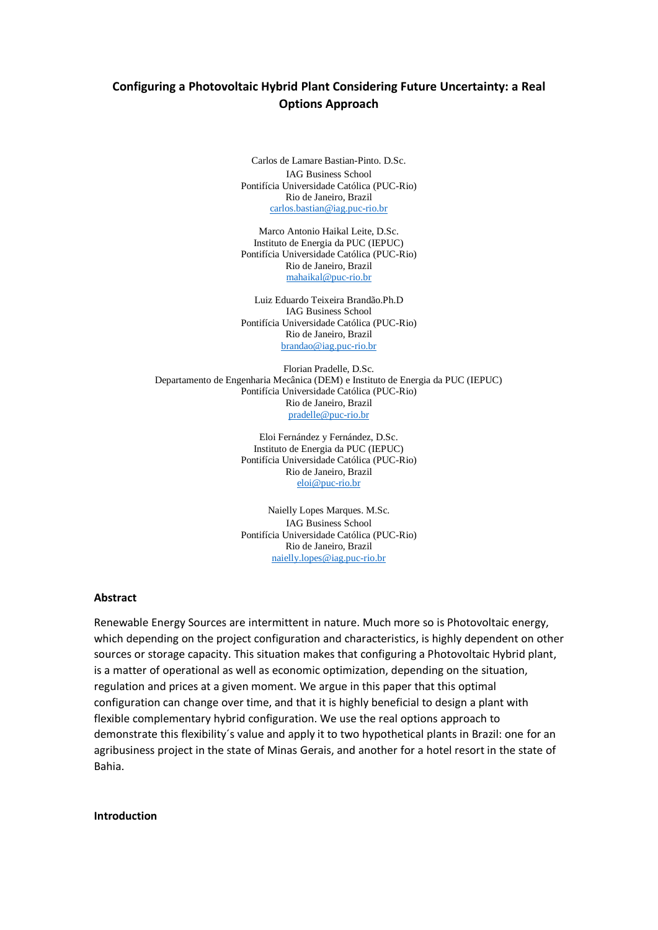# **Configuring a Photovoltaic Hybrid Plant Considering Future Uncertainty: a Real Options Approach**

Carlos de Lamare Bastian-Pinto. D.Sc. IAG Business School Pontifícia Universidade Católica (PUC-Rio) Rio de Janeiro, Brazil [carlos.bastian@iag.puc-rio.br](mailto:carlos.bastian@iag.puc-rio.br)

Marco Antonio Haikal Leite, D.Sc. Instituto de Energia da PUC (IEPUC) Pontifícia Universidade Católica (PUC-Rio) Rio de Janeiro, Brazil [mahaikal@puc-rio.br](mailto:mahaikal@puc-rio.br)

Luiz Eduardo Teixeira Brandão.Ph.D IAG Business School Pontifícia Universidade Católica (PUC-Rio) Rio de Janeiro, Brazil [brandao@iag.puc-rio.br](mailto:brandao@iag.puc-rio.br)

Florian Pradelle, D.Sc. Departamento de Engenharia Mecânica (DEM) e Instituto de Energia da PUC (IEPUC) Pontifícia Universidade Católica (PUC-Rio) Rio de Janeiro, Brazil [pradelle@puc-rio.br](mailto:pradelle@puc-rio.br)

> Eloi Fernández y Fernández, D.Sc. Instituto de Energia da PUC (IEPUC) Pontifícia Universidade Católica (PUC-Rio) Rio de Janeiro, Brazil [eloi@puc-rio.br](mailto:eloi@puc-rio.br)

> Naielly Lopes Marques. M.Sc. IAG Business School Pontifícia Universidade Católica (PUC-Rio) Rio de Janeiro, Brazil [naielly.lopes@iag.puc-rio.br](mailto:naielly.lopes@iag.puc-rio.br)

### **Abstract**

Renewable Energy Sources are intermittent in nature. Much more so is Photovoltaic energy, which depending on the project configuration and characteristics, is highly dependent on other sources or storage capacity. This situation makes that configuring a Photovoltaic Hybrid plant, is a matter of operational as well as economic optimization, depending on the situation, regulation and prices at a given moment. We argue in this paper that this optimal configuration can change over time, and that it is highly beneficial to design a plant with flexible complementary hybrid configuration. We use the real options approach to demonstrate this flexibility´s value and apply it to two hypothetical plants in Brazil: one for an agribusiness project in the state of Minas Gerais, and another for a hotel resort in the state of Bahia.

**Introduction**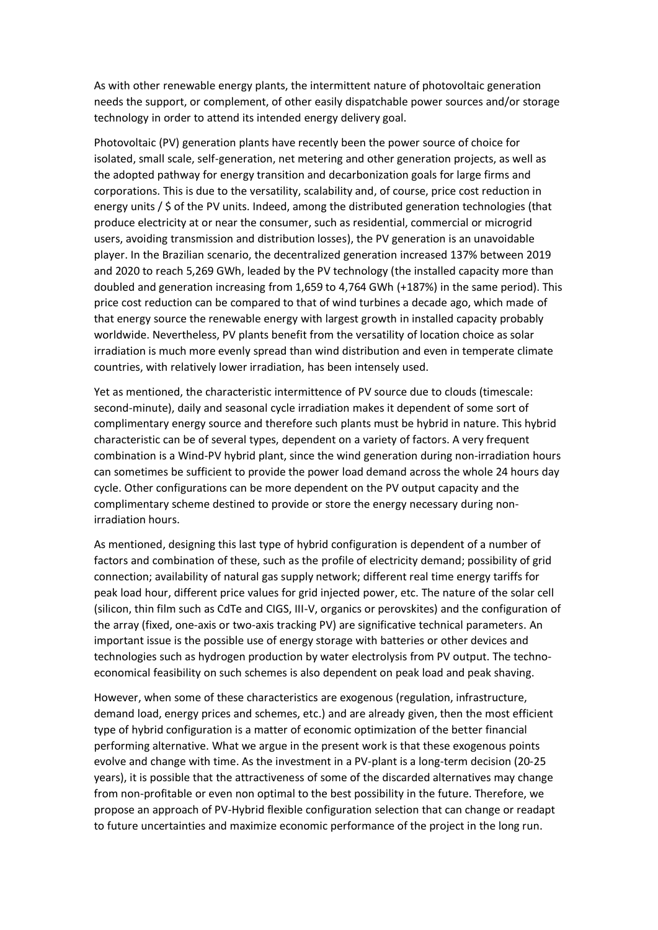As with other renewable energy plants, the intermittent nature of photovoltaic generation needs the support, or complement, of other easily dispatchable power sources and/or storage technology in order to attend its intended energy delivery goal.

Photovoltaic (PV) generation plants have recently been the power source of choice for isolated, small scale, self-generation, net metering and other generation projects, as well as the adopted pathway for energy transition and decarbonization goals for large firms and corporations. This is due to the versatility, scalability and, of course, price cost reduction in energy units / \$ of the PV units. Indeed, among the distributed generation technologies (that produce electricity at or near the consumer, such as residential, commercial or microgrid users, avoiding transmission and distribution losses), the PV generation is an unavoidable player. In the Brazilian scenario, the decentralized generation increased 137% between 2019 and 2020 to reach 5,269 GWh, leaded by the PV technology (the installed capacity more than doubled and generation increasing from 1,659 to 4,764 GWh (+187%) in the same period). This price cost reduction can be compared to that of wind turbines a decade ago, which made of that energy source the renewable energy with largest growth in installed capacity probably worldwide. Nevertheless, PV plants benefit from the versatility of location choice as solar irradiation is much more evenly spread than wind distribution and even in temperate climate countries, with relatively lower irradiation, has been intensely used.

Yet as mentioned, the characteristic intermittence of PV source due to clouds (timescale: second-minute), daily and seasonal cycle irradiation makes it dependent of some sort of complimentary energy source and therefore such plants must be hybrid in nature. This hybrid characteristic can be of several types, dependent on a variety of factors. A very frequent combination is a Wind-PV hybrid plant, since the wind generation during non-irradiation hours can sometimes be sufficient to provide the power load demand across the whole 24 hours day cycle. Other configurations can be more dependent on the PV output capacity and the complimentary scheme destined to provide or store the energy necessary during nonirradiation hours.

As mentioned, designing this last type of hybrid configuration is dependent of a number of factors and combination of these, such as the profile of electricity demand; possibility of grid connection; availability of natural gas supply network; different real time energy tariffs for peak load hour, different price values for grid injected power, etc. The nature of the solar cell (silicon, thin film such as CdTe and CIGS, III-V, organics or perovskites) and the configuration of the array (fixed, one-axis or two-axis tracking PV) are significative technical parameters. An important issue is the possible use of energy storage with batteries or other devices and technologies such as hydrogen production by water electrolysis from PV output. The technoeconomical feasibility on such schemes is also dependent on peak load and peak shaving.

However, when some of these characteristics are exogenous (regulation, infrastructure, demand load, energy prices and schemes, etc.) and are already given, then the most efficient type of hybrid configuration is a matter of economic optimization of the better financial performing alternative. What we argue in the present work is that these exogenous points evolve and change with time. As the investment in a PV-plant is a long-term decision (20-25 years), it is possible that the attractiveness of some of the discarded alternatives may change from non-profitable or even non optimal to the best possibility in the future. Therefore, we propose an approach of PV-Hybrid flexible configuration selection that can change or readapt to future uncertainties and maximize economic performance of the project in the long run.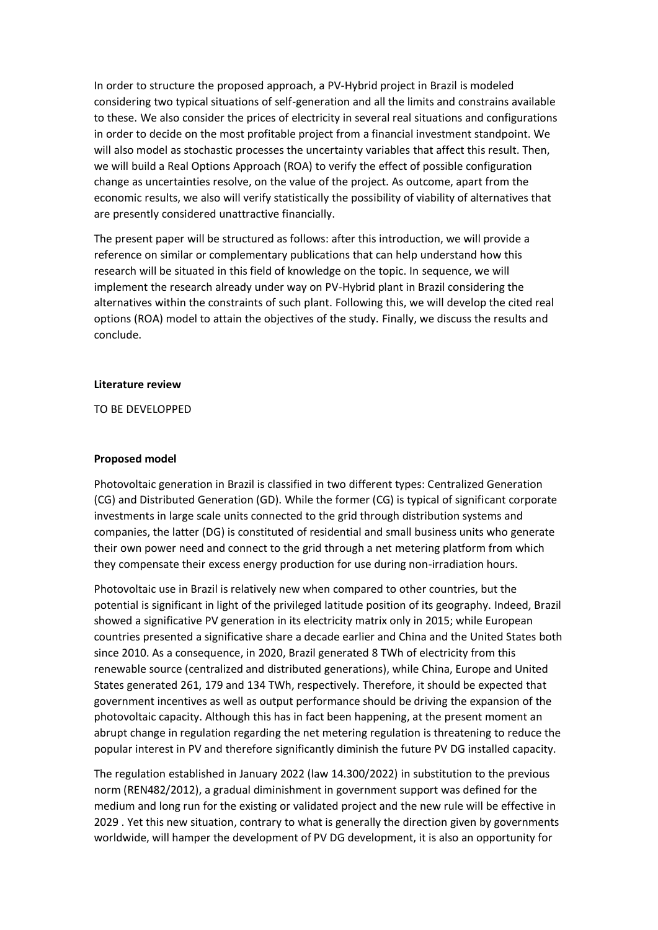In order to structure the proposed approach, a PV-Hybrid project in Brazil is modeled considering two typical situations of self-generation and all the limits and constrains available to these. We also consider the prices of electricity in several real situations and configurations in order to decide on the most profitable project from a financial investment standpoint. We will also model as stochastic processes the uncertainty variables that affect this result. Then, we will build a Real Options Approach (ROA) to verify the effect of possible configuration change as uncertainties resolve, on the value of the project. As outcome, apart from the economic results, we also will verify statistically the possibility of viability of alternatives that are presently considered unattractive financially.

The present paper will be structured as follows: after this introduction, we will provide a reference on similar or complementary publications that can help understand how this research will be situated in this field of knowledge on the topic. In sequence, we will implement the research already under way on PV-Hybrid plant in Brazil considering the alternatives within the constraints of such plant. Following this, we will develop the cited real options (ROA) model to attain the objectives of the study. Finally, we discuss the results and conclude.

### **Literature review**

TO BE DEVELOPPED

# **Proposed model**

Photovoltaic generation in Brazil is classified in two different types: Centralized Generation (CG) and Distributed Generation (GD). While the former (CG) is typical of significant corporate investments in large scale units connected to the grid through distribution systems and companies, the latter (DG) is constituted of residential and small business units who generate their own power need and connect to the grid through a net metering platform from which they compensate their excess energy production for use during non-irradiation hours.

Photovoltaic use in Brazil is relatively new when compared to other countries, but the potential is significant in light of the privileged latitude position of its geography. Indeed, Brazil showed a significative PV generation in its electricity matrix only in 2015; while European countries presented a significative share a decade earlier and China and the United States both since 2010. As a consequence, in 2020, Brazil generated 8 TWh of electricity from this renewable source (centralized and distributed generations), while China, Europe and United States generated 261, 179 and 134 TWh, respectively. Therefore, it should be expected that government incentives as well as output performance should be driving the expansion of the photovoltaic capacity. Although this has in fact been happening, at the present moment an abrupt change in regulation regarding the net metering regulation is threatening to reduce the popular interest in PV and therefore significantly diminish the future PV DG installed capacity.

The regulation established in January 2022 (law 14.300/2022) in substitution to the previous norm (REN482/2012), a gradual diminishment in government support was defined for the medium and long run for the existing or validated project and the new rule will be effective in 2029 . Yet this new situation, contrary to what is generally the direction given by governments worldwide, will hamper the development of PV DG development, it is also an opportunity for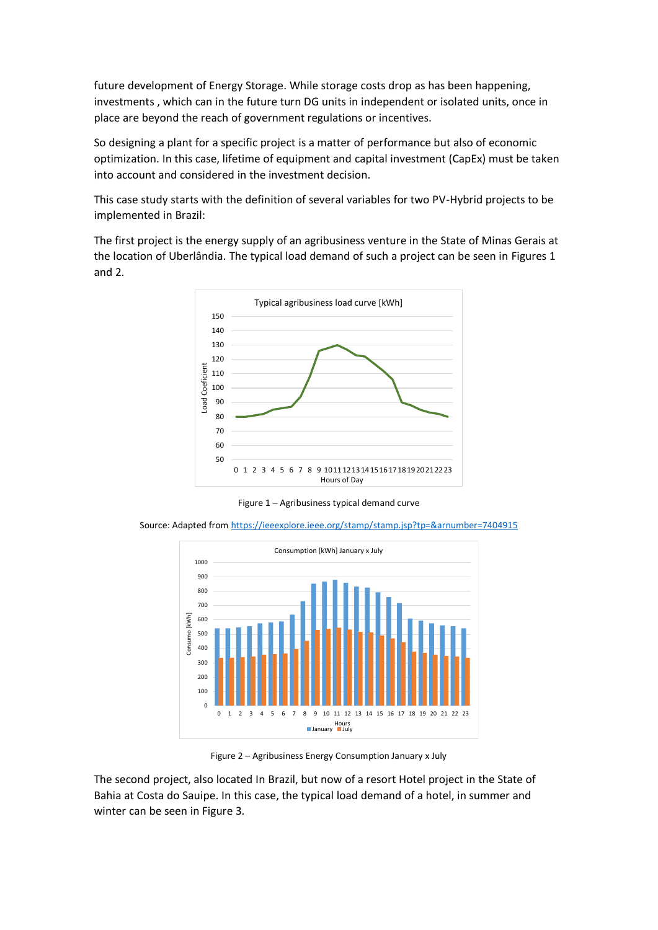future development of Energy Storage. While storage costs drop as has been happening, investments , which can in the future turn DG units in independent or isolated units, once in place are beyond the reach of government regulations or incentives.

So designing a plant for a specific project is a matter of performance but also of economic optimization. In this case, lifetime of equipment and capital investment (CapEx) must be taken into account and considered in the investment decision.

This case study starts with the definition of several variables for two PV-Hybrid projects to be implemented in Brazil:

The first project is the energy supply of an agribusiness venture in the State of Minas Gerais at the location of Uberlândia. The typical load demand of such a project can be seen in Figures 1 and 2.



Figure 1 – Agribusiness typical demand curve

Source: Adapted from<https://ieeexplore.ieee.org/stamp/stamp.jsp?tp=&arnumber=7404915>



Figure 2 – Agribusiness Energy Consumption January x July

The second project, also located In Brazil, but now of a resort Hotel project in the State of Bahia at Costa do Sauipe. In this case, the typical load demand of a hotel, in summer and winter can be seen in Figure 3.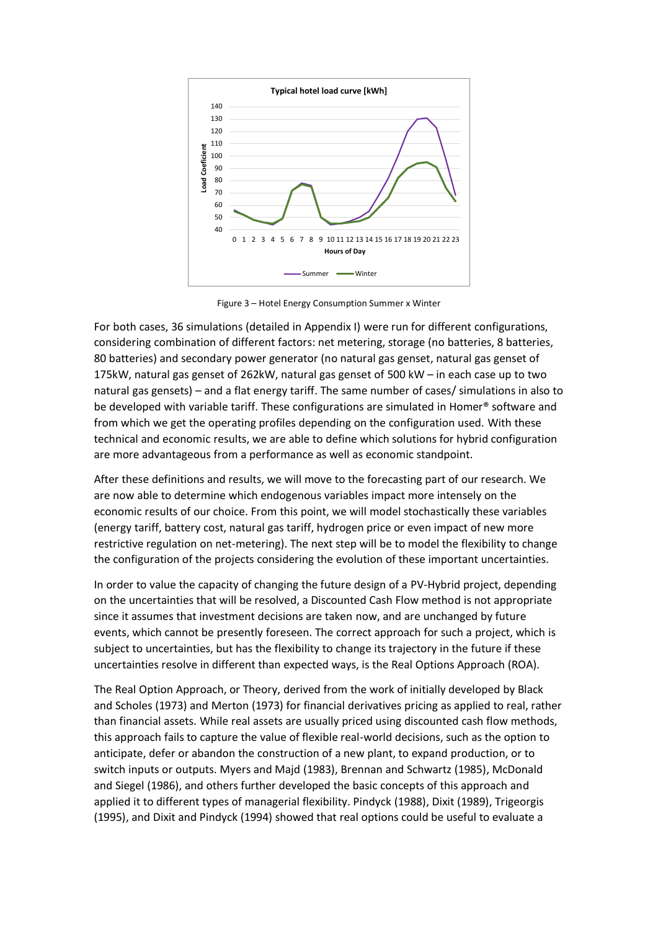

Figure 3 – Hotel Energy Consumption Summer x Winter

For both cases, 36 simulations (detailed in Appendix I) were run for different configurations, considering combination of different factors: net metering, storage (no batteries, 8 batteries, 80 batteries) and secondary power generator (no natural gas genset, natural gas genset of 175kW, natural gas genset of 262kW, natural gas genset of 500 kW – in each case up to two natural gas gensets) – and a flat energy tariff. The same number of cases/ simulations in also to be developed with variable tariff. These configurations are simulated in Homer® software and from which we get the operating profiles depending on the configuration used. With these technical and economic results, we are able to define which solutions for hybrid configuration are more advantageous from a performance as well as economic standpoint.

After these definitions and results, we will move to the forecasting part of our research. We are now able to determine which endogenous variables impact more intensely on the economic results of our choice. From this point, we will model stochastically these variables (energy tariff, battery cost, natural gas tariff, hydrogen price or even impact of new more restrictive regulation on net-metering). The next step will be to model the flexibility to change the configuration of the projects considering the evolution of these important uncertainties.

In order to value the capacity of changing the future design of a PV-Hybrid project, depending on the uncertainties that will be resolved, a Discounted Cash Flow method is not appropriate since it assumes that investment decisions are taken now, and are unchanged by future events, which cannot be presently foreseen. The correct approach for such a project, which is subject to uncertainties, but has the flexibility to change its trajectory in the future if these uncertainties resolve in different than expected ways, is the Real Options Approach (ROA).

The Real Option Approach, or Theory, derived from the work of initially developed by Black and Scholes (1973) and Merton (1973) for financial derivatives pricing as applied to real, rather than financial assets. While real assets are usually priced using discounted cash flow methods, this approach fails to capture the value of flexible real-world decisions, such as the option to anticipate, defer or abandon the construction of a new plant, to expand production, or to switch inputs or outputs. Myers and Majd (1983), Brennan and Schwartz (1985), McDonald and Siegel (1986), and others further developed the basic concepts of this approach and applied it to different types of managerial flexibility. Pindyck (1988), Dixit (1989), Trigeorgis (1995), and Dixit and Pindyck (1994) showed that real options could be useful to evaluate a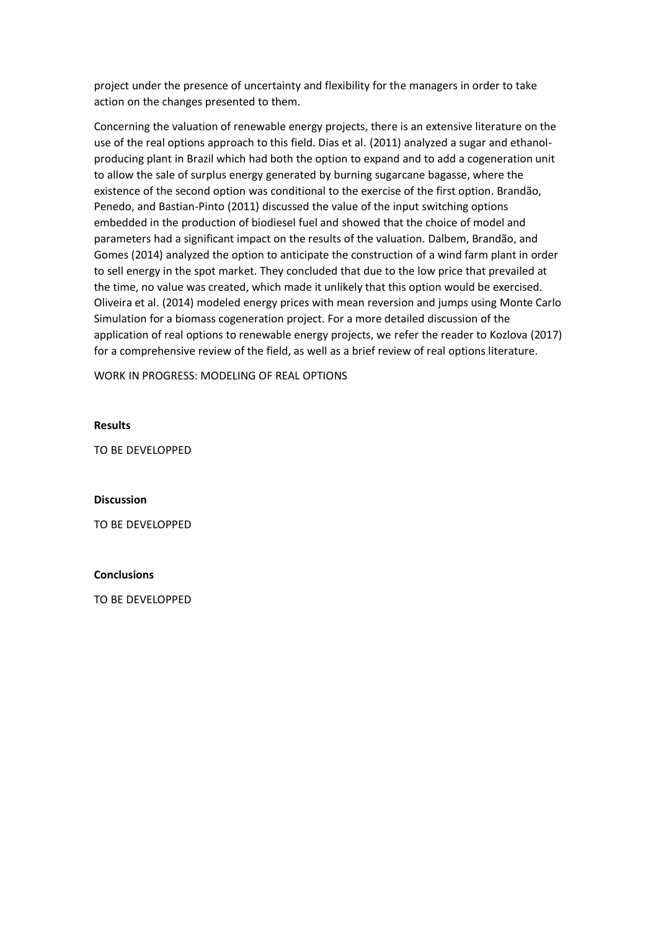project under the presence of uncertainty and flexibility for the managers in order to take action on the changes presented to them.

Concerning the valuation of renewable energy projects, there is an extensive literature on the use of the real options approach to this field. Dias et al. (2011) analyzed a sugar and ethanolproducing plant in Brazil which had both the option to expand and to add a cogeneration unit to allow the sale of surplus energy generated by burning sugarcane bagasse, where the existence of the second option was conditional to the exercise of the first option. Brandão, Penedo, and Bastian-Pinto (2011) discussed the value of the input switching options embedded in the production of biodiesel fuel and showed that the choice of model and parameters had a significant impact on the results of the valuation. Dalbem, Brandão, and Gomes (2014) analyzed the option to anticipate the construction of a wind farm plant in order to sell energy in the spot market. They concluded that due to the low price that prevailed at the time, no value was created, which made it unlikely that this option would be exercised. Oliveira et al. (2014) modeled energy prices with mean reversion and jumps using Monte Carlo Simulation for a biomass cogeneration project. For a more detailed discussion of the application of real options to renewable energy projects, we refer the reader to Kozlova (2017) for a comprehensive review of the field, as well as a brief review of real options literature.

WORK IN PROGRESS: MODELING OF REAL OPTIONS

# **Results**

TO BE DEVELOPPED

### **Discussion**

TO BE DEVELOPPED

### **Conclusions**

TO BE DEVELOPPED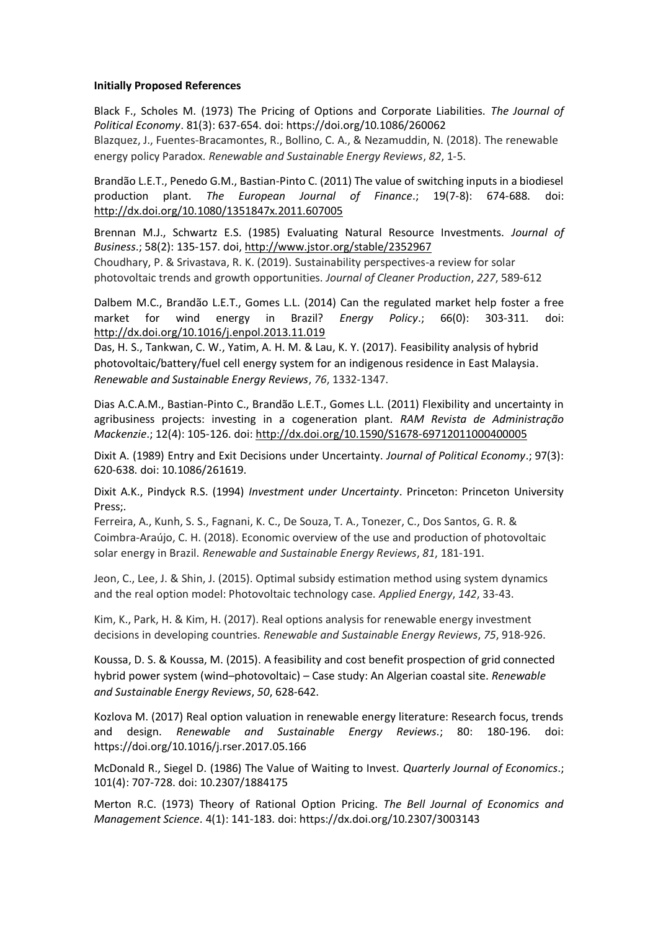# **Initially Proposed References**

Black F., Scholes M. (1973) The Pricing of Options and Corporate Liabilities. *The Journal of Political Economy*. 81(3): 637-654. doi: https://doi.org/10.1086/260062

Blazquez, J., Fuentes-Bracamontes, R., Bollino, C. A., & Nezamuddin, N. (2018). The renewable energy policy Paradox. *Renewable and Sustainable Energy Reviews*, *82*, 1-5.

Brandão L.E.T., Penedo G.M., Bastian-Pinto C. (2011) The value of switching inputs in a biodiesel production plant. *The European Journal of Finance*.; 19(7-8): 674-688. doi: <http://dx.doi.org/10.1080/1351847x.2011.607005>

Brennan M.J., Schwartz E.S. (1985) Evaluating Natural Resource Investments. *Journal of Business*.; 58(2): 135-157. doi,<http://www.jstor.org/stable/2352967> Choudhary, P. & Srivastava, R. K. (2019). Sustainability perspectives-a review for solar photovoltaic trends and growth opportunities. *Journal of Cleaner Production*, *227*, 589-612

Dalbem M.C., Brandão L.E.T., Gomes L.L. (2014) Can the regulated market help foster a free market for wind energy in Brazil? *Energy Policy*.; 66(0): 303-311. doi: <http://dx.doi.org/10.1016/j.enpol.2013.11.019>

Das, H. S., Tankwan, C. W., Yatim, A. H. M. & Lau, K. Y. (2017). Feasibility analysis of hybrid photovoltaic/battery/fuel cell energy system for an indigenous residence in East Malaysia. *Renewable and Sustainable Energy Reviews*, *76*, 1332-1347.

Dias A.C.A.M., Bastian-Pinto C., Brandão L.E.T., Gomes L.L. (2011) Flexibility and uncertainty in agribusiness projects: investing in a cogeneration plant. *RAM Revista de Administração Mackenzie*.; 12(4): 105-126. doi:<http://dx.doi.org/10.1590/S1678-69712011000400005>

Dixit A. (1989) Entry and Exit Decisions under Uncertainty. *Journal of Political Economy*.; 97(3): 620-638. doi: 10.1086/261619.

Dixit A.K., Pindyck R.S. (1994) *Investment under Uncertainty*. Princeton: Princeton University Press;.

Ferreira, A., Kunh, S. S., Fagnani, K. C., De Souza, T. A., Tonezer, C., Dos Santos, G. R. & Coimbra-Araújo, C. H. (2018). Economic overview of the use and production of photovoltaic solar energy in Brazil. *Renewable and Sustainable Energy Reviews*, *81*, 181-191.

Jeon, C., Lee, J. & Shin, J. (2015). Optimal subsidy estimation method using system dynamics and the real option model: Photovoltaic technology case. *Applied Energy*, *142*, 33-43.

Kim, K., Park, H. & Kim, H. (2017). Real options analysis for renewable energy investment decisions in developing countries. *Renewable and Sustainable Energy Reviews*, *75*, 918-926.

Koussa, D. S. & Koussa, M. (2015). A feasibility and cost benefit prospection of grid connected hybrid power system (wind–photovoltaic) – Case study: An Algerian coastal site. *Renewable and Sustainable Energy Reviews*, *50*, 628-642.

Kozlova M. (2017) Real option valuation in renewable energy literature: Research focus, trends and design. *Renewable and Sustainable Energy Reviews*.; 80: 180-196. doi: https://doi.org/10.1016/j.rser.2017.05.166

McDonald R., Siegel D. (1986) The Value of Waiting to Invest. *Quarterly Journal of Economics*.; 101(4): 707-728. doi: 10.2307/1884175

Merton R.C. (1973) Theory of Rational Option Pricing. *The Bell Journal of Economics and Management Science*. 4(1): 141-183. doi: https://dx.doi.org/10.2307/3003143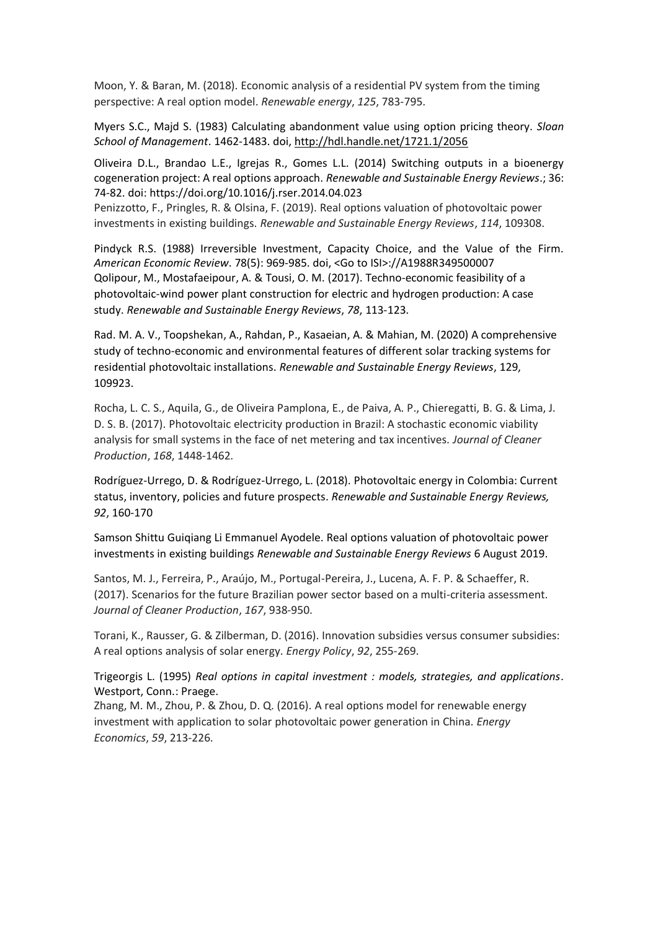Moon, Y. & Baran, M. (2018). Economic analysis of a residential PV system from the timing perspective: A real option model. *Renewable energy*, *125*, 783-795.

Myers S.C., Majd S. (1983) Calculating abandonment value using option pricing theory. *Sloan School of Management*. 1462-1483. doi,<http://hdl.handle.net/1721.1/2056>

Oliveira D.L., Brandao L.E., Igrejas R., Gomes L.L. (2014) Switching outputs in a bioenergy cogeneration project: A real options approach. *Renewable and Sustainable Energy Reviews*.; 36: 74-82. doi: https://doi.org/10.1016/j.rser.2014.04.023

Penizzotto, F., Pringles, R. & Olsina, F. (2019). Real options valuation of photovoltaic power investments in existing buildings. *Renewable and Sustainable Energy Reviews*, *114*, 109308.

Pindyck R.S. (1988) Irreversible Investment, Capacity Choice, and the Value of the Firm. *American Economic Review*. 78(5): 969-985. doi, <Go to ISI>://A1988R349500007 Qolipour, M., Mostafaeipour, A. & Tousi, O. M. (2017). Techno-economic feasibility of a photovoltaic-wind power plant construction for electric and hydrogen production: A case study. *Renewable and Sustainable Energy Reviews*, *78*, 113-123.

Rad. M. A. V., Toopshekan, A., Rahdan, P., Kasaeian, A. & Mahian, M. (2020) A comprehensive study of techno-economic and environmental features of different solar tracking systems for residential photovoltaic installations. *Renewable and Sustainable Energy Reviews*, 129, 109923.

Rocha, L. C. S., Aquila, G., de Oliveira Pamplona, E., de Paiva, A. P., Chieregatti, B. G. & Lima, J. D. S. B. (2017). Photovoltaic electricity production in Brazil: A stochastic economic viability analysis for small systems in the face of net metering and tax incentives. *Journal of Cleaner Production*, *168*, 1448-1462.

Rodríguez-Urrego, D. & Rodríguez-Urrego, L. (2018). Photovoltaic energy in Colombia: Current status, inventory, policies and future prospects. *Renewable and Sustainable Energy Reviews, 92*, 160-170

Samson Shittu Guiqiang Li Emmanuel Ayodele. Real options valuation of photovoltaic power investments in existing buildings *Renewable and Sustainable Energy Reviews* 6 August 2019.

Santos, M. J., Ferreira, P., Araújo, M., Portugal-Pereira, J., Lucena, A. F. P. & Schaeffer, R. (2017). Scenarios for the future Brazilian power sector based on a multi-criteria assessment. *Journal of Cleaner Production*, *167*, 938-950.

Torani, K., Rausser, G. & Zilberman, D. (2016). Innovation subsidies versus consumer subsidies: A real options analysis of solar energy. *Energy Policy*, *92*, 255-269.

Trigeorgis L. (1995) *Real options in capital investment : models, strategies, and applications*. Westport, Conn.: Praege.

Zhang, M. M., Zhou, P. & Zhou, D. Q. (2016). A real options model for renewable energy investment with application to solar photovoltaic power generation in China. *Energy Economics*, *59*, 213-226.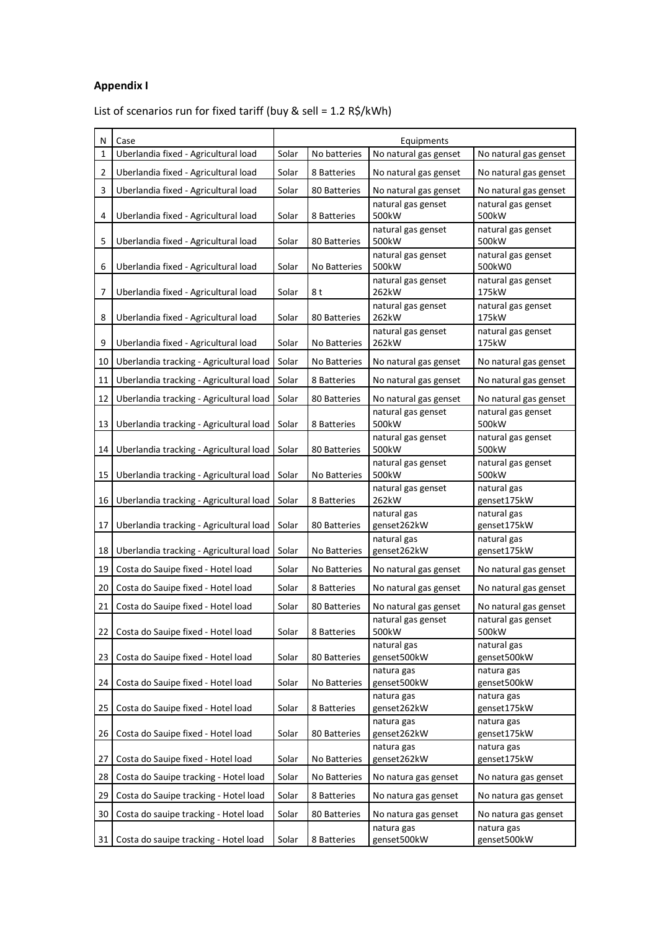# **Appendix I**

List of scenarios run for fixed tariff (buy & sell = 1.2 R\$/kWh)

| N  | Case                                    | Equipments |                     |                             |                              |  |
|----|-----------------------------------------|------------|---------------------|-----------------------------|------------------------------|--|
| 1  | Uberlandia fixed - Agricultural load    | Solar      | No batteries        | No natural gas genset       | No natural gas genset        |  |
| 2  | Uberlandia fixed - Agricultural load    | Solar      | 8 Batteries         | No natural gas genset       | No natural gas genset        |  |
| 3  | Uberlandia fixed - Agricultural load    | Solar      | 80 Batteries        | No natural gas genset       | No natural gas genset        |  |
| 4  | Uberlandia fixed - Agricultural load    | Solar      | 8 Batteries         | natural gas genset<br>500kW | natural gas genset<br>500kW  |  |
| 5  | Uberlandia fixed - Agricultural load    | Solar      | 80 Batteries        | natural gas genset<br>500kW | natural gas genset<br>500kW  |  |
| 6  | Uberlandia fixed - Agricultural load    | Solar      | No Batteries        | natural gas genset<br>500kW | natural gas genset<br>500kW0 |  |
| 7  | Uberlandia fixed - Agricultural load    | Solar      | 8t                  | natural gas genset<br>262kW | natural gas genset<br>175kW  |  |
| 8  | Uberlandia fixed - Agricultural load    | Solar      | 80 Batteries        | natural gas genset<br>262kW | natural gas genset<br>175kW  |  |
| 9  | Uberlandia fixed - Agricultural load    | Solar      | No Batteries        | natural gas genset<br>262kW | natural gas genset<br>175kW  |  |
| 10 | Uberlandia tracking - Agricultural load | Solar      | No Batteries        | No natural gas genset       | No natural gas genset        |  |
| 11 | Uberlandia tracking - Agricultural load | Solar      | 8 Batteries         | No natural gas genset       | No natural gas genset        |  |
| 12 | Uberlandia tracking - Agricultural load | Solar      | 80 Batteries        | No natural gas genset       | No natural gas genset        |  |
| 13 | Uberlandia tracking - Agricultural load | Solar      | 8 Batteries         | natural gas genset<br>500kW | natural gas genset<br>500kW  |  |
| 14 | Uberlandia tracking - Agricultural load | Solar      | 80 Batteries        | natural gas genset<br>500kW | natural gas genset<br>500kW  |  |
| 15 | Uberlandia tracking - Agricultural load | Solar      | No Batteries        | natural gas genset<br>500kW | natural gas genset<br>500kW  |  |
| 16 | Uberlandia tracking - Agricultural load | Solar      | 8 Batteries         | natural gas genset<br>262kW | natural gas<br>genset175kW   |  |
| 17 | Uberlandia tracking - Agricultural load | Solar      | 80 Batteries        | natural gas<br>genset262kW  | natural gas<br>genset175kW   |  |
| 18 | Uberlandia tracking - Agricultural load | Solar      | No Batteries        | natural gas<br>genset262kW  | natural gas<br>genset175kW   |  |
| 19 | Costa do Sauipe fixed - Hotel load      | Solar      | No Batteries        | No natural gas genset       | No natural gas genset        |  |
| 20 | Costa do Sauipe fixed - Hotel load      | Solar      | 8 Batteries         | No natural gas genset       | No natural gas genset        |  |
| 21 | Costa do Sauipe fixed - Hotel load      | Solar      | 80 Batteries        | No natural gas genset       | No natural gas genset        |  |
| 22 | Costa do Sauipe fixed - Hotel load      | Solar      | 8 Batteries         | natural gas genset<br>500kW | natural gas genset<br>500kW  |  |
| 23 | Costa do Sauipe fixed - Hotel load      | Solar      | 80 Batteries        | natural gas<br>genset500kW  | natural gas<br>genset500kW   |  |
| 24 | Costa do Sauipe fixed - Hotel load      | Solar      | <b>No Batteries</b> | natura gas<br>genset500kW   | natura gas<br>genset500kW    |  |
| 25 | Costa do Sauipe fixed - Hotel load      | Solar      | 8 Batteries         | natura gas<br>genset262kW   | natura gas<br>genset175kW    |  |
| 26 | Costa do Sauipe fixed - Hotel load      | Solar      | 80 Batteries        | natura gas<br>genset262kW   | natura gas<br>genset175kW    |  |
| 27 | Costa do Sauipe fixed - Hotel load      | Solar      | No Batteries        | natura gas<br>genset262kW   | natura gas<br>genset175kW    |  |
| 28 | Costa do Sauipe tracking - Hotel load   | Solar      | No Batteries        | No natura gas genset        | No natura gas genset         |  |
| 29 | Costa do Sauipe tracking - Hotel load   | Solar      | 8 Batteries         | No natura gas genset        | No natura gas genset         |  |
| 30 | Costa do sauipe tracking - Hotel load   | Solar      | 80 Batteries        | No natura gas genset        | No natura gas genset         |  |
| 31 | Costa do sauipe tracking - Hotel load   | Solar      | 8 Batteries         | natura gas<br>genset500kW   | natura gas<br>genset500kW    |  |